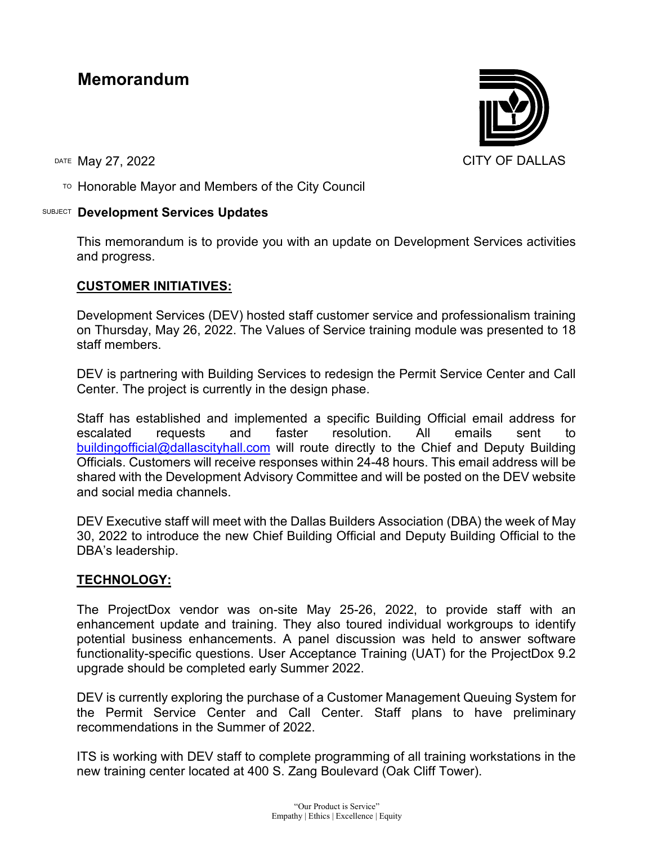# **Memorandum**

 $\overline{P}$  Honorable Mayor and Members of the City Council

## SUBJECT **Development Services Updates**

This memorandum is to provide you with an update on Development Services activities and progress.

## **CUSTOMER INITIATIVES:**

Development Services (DEV) hosted staff customer service and professionalism training on Thursday, May 26, 2022. The Values of Service training module was presented to 18 staff members.

DEV is partnering with Building Services to redesign the Permit Service Center and Call Center. The project is currently in the design phase.

Staff has established and implemented a specific Building Official email address for escalated requests and faster resolution. All emails sent to [buildingofficial@dallascityhall.com](mailto:buildingofficial@dallascityhall.com) will route directly to the Chief and Deputy Building Officials. Customers will receive responses within 24-48 hours. This email address will be shared with the Development Advisory Committee and will be posted on the DEV website and social media channels.

DEV Executive staff will meet with the Dallas Builders Association (DBA) the week of May 30, 2022 to introduce the new Chief Building Official and Deputy Building Official to the DBA's leadership.

## **TECHNOLOGY:**

The ProjectDox vendor was on-site May 25-26, 2022, to provide staff with an enhancement update and training. They also toured individual workgroups to identify potential business enhancements. A panel discussion was held to answer software functionality-specific questions. User Acceptance Training (UAT) for the ProjectDox 9.2 upgrade should be completed early Summer 2022.

DEV is currently exploring the purchase of a Customer Management Queuing System for the Permit Service Center and Call Center. Staff plans to have preliminary recommendations in the Summer of 2022.

ITS is working with DEV staff to complete programming of all training workstations in the new training center located at 400 S. Zang Boulevard (Oak Cliff Tower).